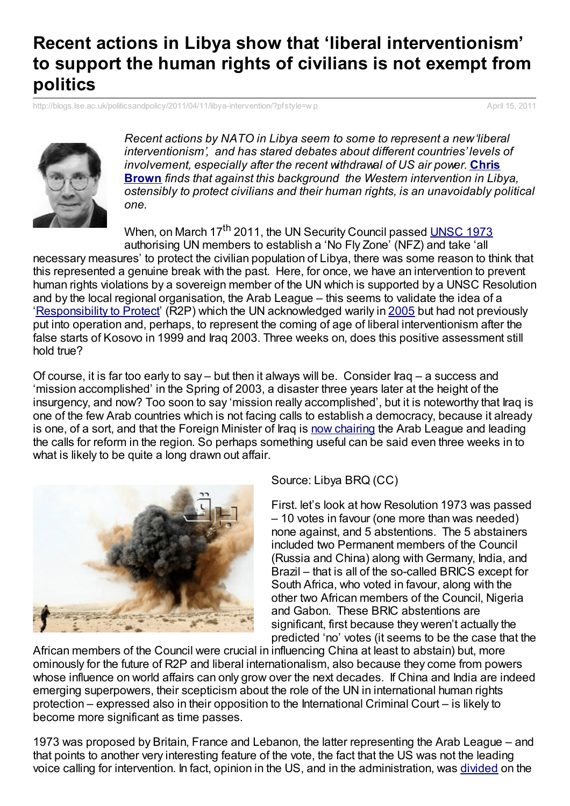## **Recent actions in Libya show that 'liberal interventionism' to support the human rights of civilians is not exempt from politics**

[http://blogs.lse.ac.uk/politicsandpolicy/2011/04/11/libya-intervention/?pfstyle=w](http://blogs.lse.ac.uk/politicsandpolicy/2011/04/11/libya-intervention/?pfstyle=wp) p April 15, 2011



*Recent actions by NATO in Libya seem to some to represent a new'liberal interventionism', and has stared debates about different countries' levels of [involvement,](http://blogs.lse.ac.uk/politicsandpolicy/contributors/#Chris_Brown) especially after the recent withdrawal of US air power.* **Chris Brown** *finds that against this background the Western intervention in Libya, ostensibly to protect civilians and their human rights, is an unavoidably political one.*

When, on March 17<sup>th</sup> 2011, the UN Security Council passed [UNSC](http://en.wikipedia.org/wiki/United_Nations_Security_Council_Resolution_1973) 1973 authorising UN members to establish a 'No Fly Zone' (NFZ) and take 'all

necessary measures' to protect the civilian population of Libya, there was some reason to think that this represented a genuine break with the past. Here, for once, we have an intervention to prevent human rights violations by a sovereign member of the UN which is supported by a UNSC Resolution and by the local regional organisation, the Arab League – this seems to validate the idea of a ['Responsibility](http://www.washingtontimes.com/news/2011/apr/6/holmes-whose-responsibility-to-protect/) to Protect' (R2P) which the UN acknowledged warily in [2005](http://www.who.int/hiv/universalaccess2010/worldsummit.pdf) but had not previously put into operation and, perhaps, to represent the coming of age of liberal interventionism after the false starts of Kosovo in 1999 and Iraq 2003. Three weeks on, does this positive assessment still hold true?

Of course, it is far too early to say – but then it always will be. Consider Iraq – a success and 'mission accomplished' in the Spring of 2003, a disaster three years later at the height of the insurgency, and now? Too soon to say 'mission really accomplished', but it is noteworthy that Iraq is one of the few Arab countries which is not facing calls to establish a democracy, because it already is one, of a sort, and that the Foreign Minister of Iraq is now [chairing](http://www.nytimes.com/2011/03/24/world/middleeast/24iraq.html) the Arab League and leading the calls for reform in the region. So perhaps something useful can be said even three weeks in to what is likely to be quite a long drawn out affair.



Source: Libya BRQ (CC)

First. let's look at how Resolution 1973 was passed – 10 votes in favour (one more than was needed) none against, and 5 abstentions. The 5 abstainers included two Permanent members of the Council (Russia and China) along with Germany, India, and Brazil – that is all of the so-called BRICS except for South Africa, who voted in favour, along with the other two African members of the Council, Nigeria and Gabon. These BRIC abstentions are significant, first because they weren't actually the predicted 'no' votes (it seems to be the case that the

African members of the Council were crucial in influencing China at least to abstain) but, more ominously for the future of R2P and liberal internationalism, also because they come from powers whose influence on world affairs can only grow over the next decades. If China and India are indeed emerging superpowers, their scepticism about the role of the UN in international human rights protection – expressed also in their opposition to the International Criminal Court – is likely to become more significant as time passes.

1973 was proposed by Britain, France and Lebanon, the latter representing the Arab League – and that points to another very interesting feature of the vote, the fact that the US was not the leading voice calling for intervention. In fact, opinion in the US, and in the administration, was [divided](http://washingtonexaminer.com/blogs/beltway-confidential/2011/03/gates-libya-not-us-interest-clinton-yes-it) on the